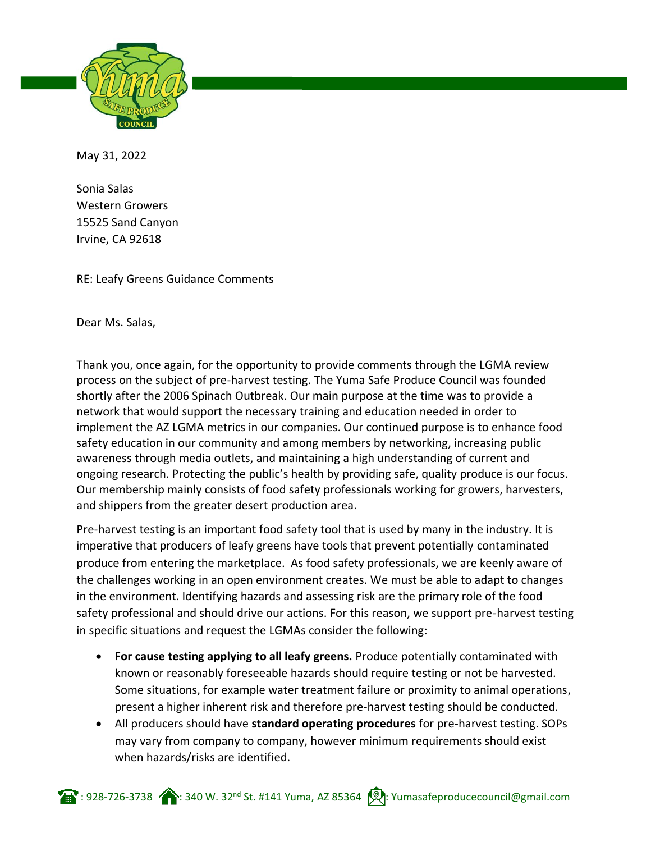

May 31, 2022

Sonia Salas Western Growers 15525 Sand Canyon Irvine, CA 92618

RE: Leafy Greens Guidance Comments

Dear Ms. Salas,

Thank you, once again, for the opportunity to provide comments through the LGMA review process on the subject of pre-harvest testing. The Yuma Safe Produce Council was founded shortly after the 2006 Spinach Outbreak. Our main purpose at the time was to provide a network that would support the necessary training and education needed in order to implement the AZ LGMA metrics in our companies. Our continued purpose is to enhance food safety education in our community and among members by networking, increasing public awareness through media outlets, and maintaining a high understanding of current and ongoing research. Protecting the public's health by providing safe, quality produce is our focus. Our membership mainly consists of food safety professionals working for growers, harvesters, and shippers from the greater desert production area.

Pre-harvest testing is an important food safety tool that is used by many in the industry. It is imperative that producers of leafy greens have tools that prevent potentially contaminated produce from entering the marketplace. As food safety professionals, we are keenly aware of the challenges working in an open environment creates. We must be able to adapt to changes in the environment. Identifying hazards and assessing risk are the primary role of the food safety professional and should drive our actions. For this reason, we support pre-harvest testing in specific situations and request the LGMAs consider the following:

- **For cause testing applying to all leafy greens.** Produce potentially contaminated with known or reasonably foreseeable hazards should require testing or not be harvested. Some situations, for example water treatment failure or proximity to animal operations, present a higher inherent risk and therefore pre-harvest testing should be conducted.
- All producers should have **standard operating procedures** for pre-harvest testing. SOPs may vary from company to company, however minimum requirements should exist when hazards/risks are identified.